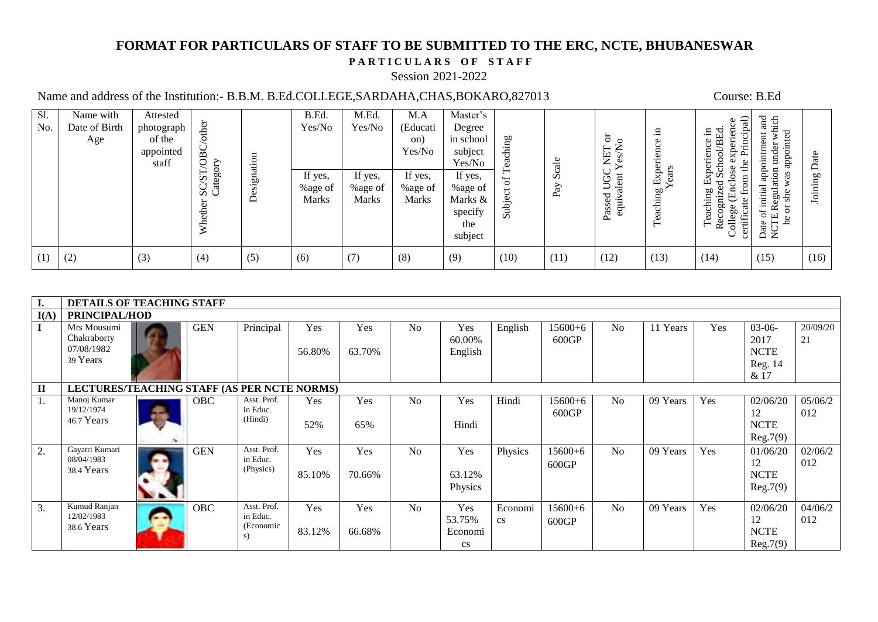# **FORMAT FOR PARTICULARS OF STAFF TO BE SUBMITTED TO THE ERC, NCTE, BHUBANESWAR**

## PARTICULARS OF STAFF

#### Session 2021-2022

# Name and address of the Institution:- B.B.M. B.Ed.COLLEGE,SARDAHA,CHAS,BOKARO,827013 Course: B.Ed

| Sl.<br>No. | Name with<br>Date of Birth | Attested<br>photograph       | other                         |                | B.Ed.<br>Yes/No                    | M.Ed.<br>Yes/No                    | M.A<br>(Educati                    | Master's<br>Degree                                         |                 |               |                                                    | .日         | ਜ਼<br>Φ<br>ien<br>.日<br>Œ                                                            | $_{\rm and}$<br>which<br>$\sharp$                                                          |      |
|------------|----------------------------|------------------------------|-------------------------------|----------------|------------------------------------|------------------------------------|------------------------------------|------------------------------------------------------------|-----------------|---------------|----------------------------------------------------|------------|--------------------------------------------------------------------------------------|--------------------------------------------------------------------------------------------|------|
|            | Age                        | of the<br>appointed<br>staff | $\overline{OBC}$<br>⋋         |                |                                    |                                    | on)<br>Yes/No                      | in school<br>subject<br>Yes/No                             | eaching         | $rac{e}{d}$   | $5^{\circ}$<br>Ž<br>NET<br>$\mathcal{S}^{\bullet}$ | Experience | $\circ$<br>5<br>erienc<br>exp<br>ಕ                                                   | ුව<br>ointmer<br>under<br>appoint                                                          | 원    |
|            |                            |                              | $SC/S_{1/2}$<br>Category<br>Ĕ | signation<br>Å | If yes,<br>%age of<br><b>Marks</b> | If yes,<br>%age of<br><b>Marks</b> | If yes,<br>%age of<br><b>Marks</b> | If yes,<br>%age of<br>Marks &<br>specify<br>the<br>subject | of $T$<br>Subje | ల<br>Ō<br>Pay | UGC<br>alent<br>Passed<br>equi                     | Teaching   | も<br>Se<br>Exp<br>do<br>Ę<br>Teaching<br>品<br>ate<br>College<br>certific<br>$\alpha$ | ation<br>gde<br>as<br>e of initial<br>TE Record<br>$_{\rm she}$<br>ă<br>he<br>Date<br>NCTI | ρO   |
| (1)        | (2)                        | (3)                          | (4)                           | (5)            | (6)                                | (7)                                | (8)                                | (9)                                                        | (10)            | (11)          | (12)                                               | (13)       | (14)                                                                                 | (15)                                                                                       | (16) |

| I.           | <b>DETAILS OF TEACHING STAFF</b>                     |  |            |                                            |               |               |                |                                                    |                                   |                      |                |          |     |                                                    |                |
|--------------|------------------------------------------------------|--|------------|--------------------------------------------|---------------|---------------|----------------|----------------------------------------------------|-----------------------------------|----------------------|----------------|----------|-----|----------------------------------------------------|----------------|
| I(A)         | PRINCIPAL/HOD                                        |  |            |                                            |               |               |                |                                                    |                                   |                      |                |          |     |                                                    |                |
| L            | Mrs Mousumi<br>Chakraborty<br>07/08/1982<br>39 Years |  | <b>GEN</b> | Principal                                  | Yes<br>56.80% | Yes<br>63.70% | N <sub>o</sub> | Yes<br>60.00%<br>English                           | English                           | $15600+6$<br>600GP   | N <sub>o</sub> | 11 Years | Yes | $03-06-$<br>2017<br><b>NCTE</b><br>Reg. 14<br>& 17 | 20/09/20<br>21 |
| $\mathbf{I}$ | LECTURES/TEACHING STAFF (AS PER NCTE NORMS)          |  |            |                                            |               |               |                |                                                    |                                   |                      |                |          |     |                                                    |                |
| 1.           | Manoj Kumar<br>19/12/1974<br>46.7 Years              |  | <b>OBC</b> | Asst. Prof.<br>in Educ.<br>(Hindi)         | Yes<br>52%    | Yes<br>65%    | N <sub>o</sub> | Yes<br>Hindi                                       | Hindi                             | $15600+6$<br>600GP   | No             | 09 Years | Yes | 02/06/20<br>12<br><b>NCTE</b><br>Reg.7(9)          | 05/06/2<br>012 |
| 2.           | Gayatri Kumari<br>08/04/1983<br>38.4 Years           |  | <b>GEN</b> | Asst. Prof.<br>in Educ.<br>(Physics)       | Yes<br>85.10% | Yes<br>70.66% | N <sub>o</sub> | Yes<br>63.12%<br>Physics                           | Physics                           | $15600 + 6$<br>600GP | N <sub>o</sub> | 09 Years | Yes | 01/06/20<br>12<br><b>NCTE</b><br>Reg.7(9)          | 02/06/2<br>012 |
| 3.           | Kumud Ranjan<br>12/02/1983<br>38.6 Years             |  | <b>OBC</b> | Asst. Prof.<br>in Educ.<br>(Economic<br>s) | Yes<br>83.12% | Yes<br>66.68% | N <sub>o</sub> | Yes<br>53.75%<br>Economi<br>$\mathbf{c}\mathbf{s}$ | Economi<br>$\mathbf{c}\mathbf{s}$ | $15600+6$<br>600GP   | N <sub>o</sub> | 09 Years | Yes | 02/06/20<br>12<br><b>NCTE</b><br>Reg.7(9)          | 04/06/2<br>012 |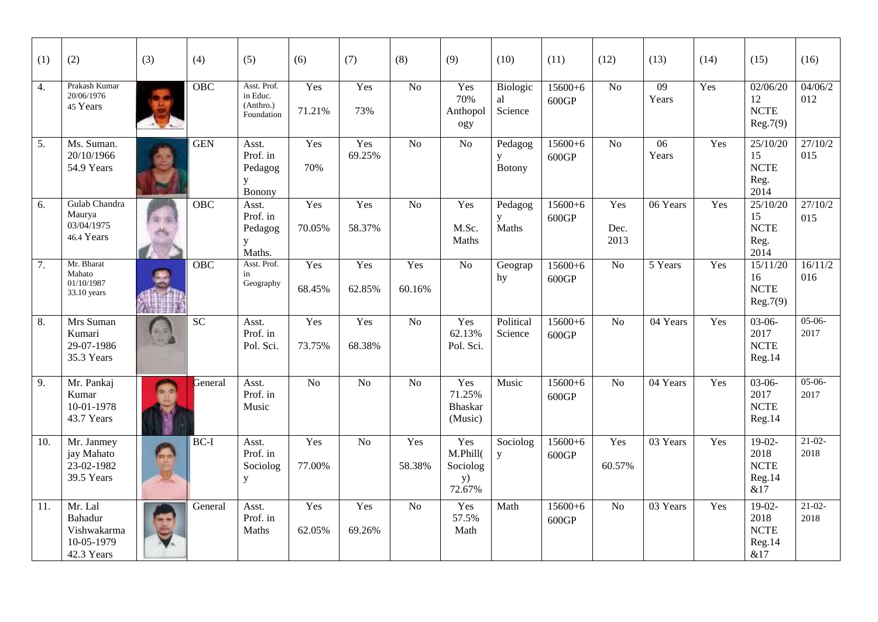| (1)              | (2)                                                                  | (3) | (4)             | (5)                                                | (6)            | (7)             | (8)             | (9)                                                 | (10)                      | (11)                 | (12)                | (13)                     | (14) | (15)                                             | (16)                       |
|------------------|----------------------------------------------------------------------|-----|-----------------|----------------------------------------------------|----------------|-----------------|-----------------|-----------------------------------------------------|---------------------------|----------------------|---------------------|--------------------------|------|--------------------------------------------------|----------------------------|
| 4.               | Prakash Kumar<br>20/06/1976<br>45 Years                              |     | OBC             | Asst. Prof.<br>in Educ.<br>(Anthro.)<br>Foundation | Yes<br>71.21%  | Yes<br>73%      | $\overline{No}$ | Yes<br>70%<br>Anthopol<br>ogy                       | Biologic<br>al<br>Science | $15600+6$<br>600GP   | $\overline{No}$     | $\overline{09}$<br>Years | Yes  | 02/06/20<br>12<br><b>NCTE</b><br>Reg.7(9)        | $\frac{04}{06/2}$<br>012   |
| $\overline{5}$ . | Ms. Suman.<br>20/10/1966<br>54.9 Years                               |     | <b>GEN</b>      | Asst.<br>Prof. in<br>Pedagog<br>У<br>Bonony        | Yes<br>70%     | Yes<br>69.25%   | $\overline{No}$ | N <sub>o</sub>                                      | Pedagog<br>y<br>Botony    | $15600+6$<br>600GP   | $\overline{No}$     | $\overline{06}$<br>Years | Yes  | 25/10/20<br>15<br><b>NCTE</b><br>Reg.<br>2014    | $\frac{1}{27}/10/2$<br>015 |
| 6.               | Gulab Chandra<br>Maurya<br>03/04/1975<br>46.4 Years                  |     | <b>OBC</b>      | Asst.<br>Prof. in<br>Pedagog<br>y<br>Maths.        | Yes<br>70.05%  | Yes<br>58.37%   | N <sub>o</sub>  | Yes<br>M.Sc.<br>Maths                               | Pedagog<br>y<br>Maths     | $15600 + 6$<br>600GP | Yes<br>Dec.<br>2013 | 06 Years                 | Yes  | 25/10/20<br>15<br><b>NCTE</b><br>Reg.<br>2014    | 27/10/2<br>015             |
| 7.               | Mr. Bharat<br>Mahato<br>01/10/1987<br>33.10 years                    |     | <b>OBC</b>      | Asst. Prof.<br>in<br>Geography                     | Yes<br>68.45%  | Yes<br>62.85%   | Yes<br>60.16%   | N <sub>o</sub>                                      | Geograp<br>hy             | $15600+6$<br>600GP   | $\overline{No}$     | 5 Years                  | Yes  | 15/11/20<br>16<br><b>NCTE</b><br>Reg.7(9)        | 16/11/2<br>016             |
| 8.               | Mrs Suman<br>Kumari<br>29-07-1986<br>35.3 Years                      |     | $\overline{SC}$ | Asst.<br>Prof. in<br>Pol. Sci.                     | Yes<br>73.75%  | Yes<br>68.38%   | No              | Yes<br>62.13%<br>Pol. Sci.                          | Political<br>Science      | $15600+6$<br>600GP   | No                  | 04 Years                 | Yes  | $03-06-$<br>2017<br><b>NCTE</b><br>Reg.14        | $05-06-$<br>2017           |
| 9.               | Mr. Pankaj<br>Kumar<br>10-01-1978<br>43.7 Years                      |     | General         | Asst.<br>Prof. in<br>Music                         | N <sub>o</sub> | N <sub>o</sub>  | $\overline{No}$ | Yes<br>71.25%<br><b>Bhaskar</b><br>(Music)          | Music                     | $15600+6$<br>600GP   | N <sub>o</sub>      | 04 Years                 | Yes  | $03-06-$<br>2017<br><b>NCTE</b><br>Reg.14        | $05-06-$<br>2017           |
| 10.              | Mr. Janmey<br>jay Mahato<br>23-02-1982<br>39.5 Years                 |     | $BC-I$          | Asst.<br>Prof. in<br>Sociolog<br>${\bf y}$         | Yes<br>77.00%  | $\overline{No}$ | Yes<br>58.38%   | Yes<br>M.Phill(<br>Sociolog<br><b>y</b> )<br>72.67% | Sociolog<br>$\mathbf{y}$  | $15600+6$<br>600GP   | Yes<br>60.57%       | 03 Years                 | Yes  | $19-02-$<br>2018<br><b>NCTE</b><br>Reg.14<br>&17 | $21-02-$<br>2018           |
| 11.              | Mr. Lal<br><b>Bahadur</b><br>Vishwakarma<br>10-05-1979<br>42.3 Years |     | General         | Asst.<br>Prof. in<br>Maths                         | Yes<br>62.05%  | Yes<br>69.26%   | $\overline{No}$ | Yes<br>57.5%<br>Math                                | Math                      | $15600+6$<br>600GP   | $\overline{No}$     | 03 Years                 | Yes  | $19-02-$<br>2018<br><b>NCTE</b><br>Reg.14<br>&17 | $21-02-$<br>2018           |